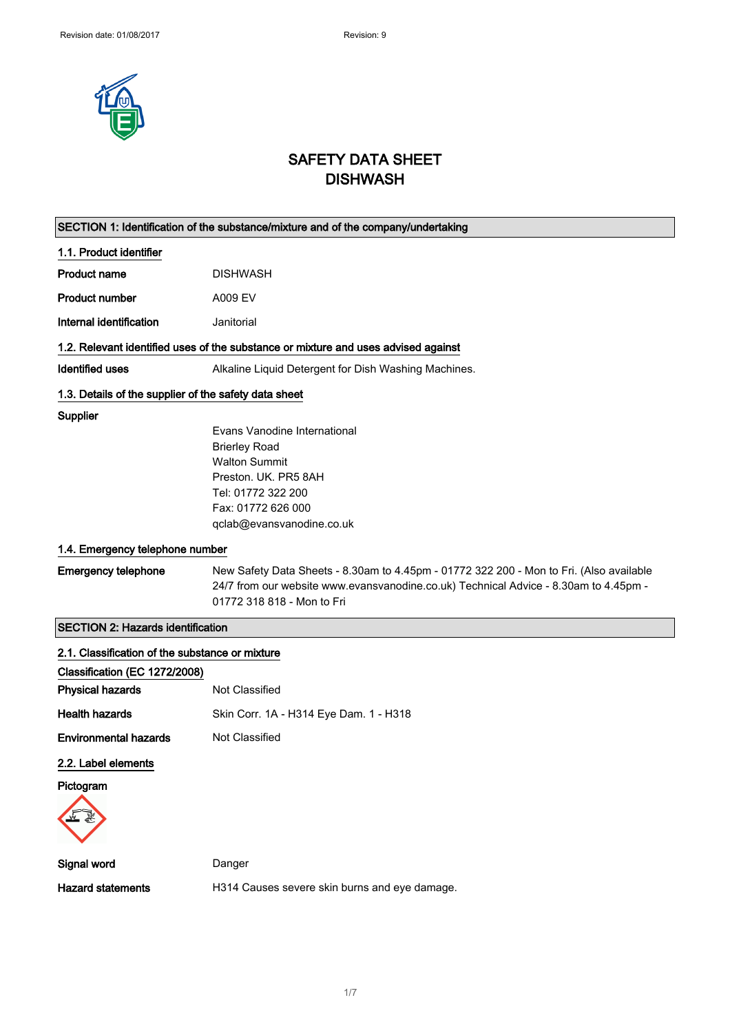

## SAFETY DATA SHEET **DISHWASH**

|                                                       | SECTION 1: Identification of the substance/mixture and of the company/undertaking       |
|-------------------------------------------------------|-----------------------------------------------------------------------------------------|
| 1.1. Product identifier                               |                                                                                         |
| <b>Product name</b>                                   | <b>DISHWASH</b>                                                                         |
| <b>Product number</b>                                 | A009 EV                                                                                 |
| Internal identification                               | Janitorial                                                                              |
|                                                       | 1.2. Relevant identified uses of the substance or mixture and uses advised against      |
| <b>Identified uses</b>                                | Alkaline Liquid Detergent for Dish Washing Machines.                                    |
| 1.3. Details of the supplier of the safety data sheet |                                                                                         |
| Supplier                                              |                                                                                         |
|                                                       | Evans Vanodine International                                                            |
|                                                       | <b>Brierley Road</b>                                                                    |
|                                                       | <b>Walton Summit</b>                                                                    |
|                                                       | Preston, UK, PR5 8AH                                                                    |
|                                                       | Tel: 01772 322 200                                                                      |
|                                                       | Fax: 01772 626 000                                                                      |
|                                                       | qclab@evansvanodine.co.uk                                                               |
| 1.4. Emergency telephone number                       |                                                                                         |
| <b>Emergency telephone</b>                            | New Safety Data Sheets - 8.30am to 4.45pm - 01772 322 200 - Mon to Fri. (Also available |
|                                                       | 24/7 from our website www.evansvanodine.co.uk) Technical Advice - 8.30am to 4.45pm -    |
|                                                       | 01772 318 818 - Mon to Fri                                                              |
| <b>SECTION 2: Hazards identification</b>              |                                                                                         |
| 2.1. Classification of the substance or mixture       |                                                                                         |
| Classification (EC 1272/2008)                         |                                                                                         |
| <b>Physical hazards</b>                               | Not Classified                                                                          |
| <b>Health hazards</b>                                 | Skin Corr. 1A - H314 Eye Dam. 1 - H318                                                  |
| <b>Environmental hazards</b>                          | Not Classified                                                                          |
| 2.2. Label elements                                   |                                                                                         |
| Pictogram                                             |                                                                                         |
|                                                       |                                                                                         |
| Signal word                                           | Danger                                                                                  |
| <b>Hazard statements</b>                              | H314 Causes severe skin burns and eye damage.                                           |
|                                                       |                                                                                         |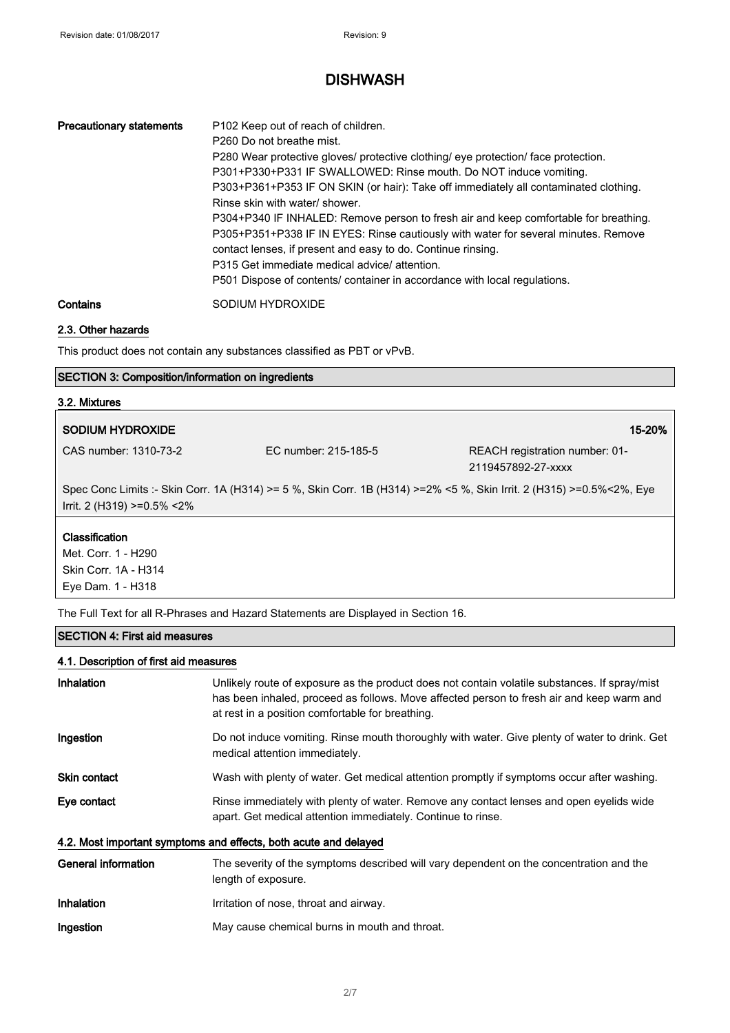| <b>Precautionary statements</b> | P <sub>102</sub> Keep out of reach of children.<br>P <sub>260</sub> Do not breathe mist.<br>P280 Wear protective gloves/ protective clothing/ eye protection/ face protection.<br>P301+P330+P331 IF SWALLOWED: Rinse mouth. Do NOT induce vomiting.<br>P303+P361+P353 IF ON SKIN (or hair): Take off immediately all contaminated clothing.<br>Rinse skin with water/ shower.<br>P304+P340 IF INHALED: Remove person to fresh air and keep comfortable for breathing.<br>P305+P351+P338 IF IN EYES: Rinse cautiously with water for several minutes. Remove<br>contact lenses, if present and easy to do. Continue rinsing.<br>P315 Get immediate medical advice/attention.<br>P501 Dispose of contents/ container in accordance with local regulations. |
|---------------------------------|----------------------------------------------------------------------------------------------------------------------------------------------------------------------------------------------------------------------------------------------------------------------------------------------------------------------------------------------------------------------------------------------------------------------------------------------------------------------------------------------------------------------------------------------------------------------------------------------------------------------------------------------------------------------------------------------------------------------------------------------------------|
| Contains                        | SODIUM HYDROXIDE                                                                                                                                                                                                                                                                                                                                                                                                                                                                                                                                                                                                                                                                                                                                         |

# 2.3. Other hazards

This product does not contain any substances classified as PBT or vPvB.

### SECTION 3: Composition/information on ingredients

# 3.2. Mixtures SODIUM HYDROXIDE 15-20% CAS number: 1310-73-2 EC number: 215-185-5 REACH registration number: 01-

2119457892-27-xxxx

Spec Conc Limits :- Skin Corr. 1A (H314) >= 5 %, Skin Corr. 1B (H314) >=2% <5 %, Skin Irrit. 2 (H315) >=0.5%<2%, Eye Irrit. 2 (H319) >=0.5% <2%

#### **Classification**

Met. Corr. 1 - H290 Skin Corr. 1A - H314 Eye Dam. 1 - H318

The Full Text for all R-Phrases and Hazard Statements are Displayed in Section 16.

#### SECTION 4: First aid measures

#### 4.1. Description of first aid measures

| <b>Inhalation</b>          | Unlikely route of exposure as the product does not contain volatile substances. If spray/mist<br>has been inhaled, proceed as follows. Move affected person to fresh air and keep warm and<br>at rest in a position comfortable for breathing. |
|----------------------------|------------------------------------------------------------------------------------------------------------------------------------------------------------------------------------------------------------------------------------------------|
| Ingestion                  | Do not induce vomiting. Rinse mouth thoroughly with water. Give plenty of water to drink. Get<br>medical attention immediately.                                                                                                                |
| <b>Skin contact</b>        | Wash with plenty of water. Get medical attention promptly if symptoms occur after washing.                                                                                                                                                     |
| Eye contact                | Rinse immediately with plenty of water. Remove any contact lenses and open eyelids wide<br>apart. Get medical attention immediately. Continue to rinse.                                                                                        |
|                            | 4.2. Most important symptoms and effects, both acute and delayed                                                                                                                                                                               |
| <b>General information</b> | The severity of the symptoms described will vary dependent on the concentration and the<br>length of exposure.                                                                                                                                 |
| <b>Inhalation</b>          | Irritation of nose, throat and airway.                                                                                                                                                                                                         |
| Ingestion                  | May cause chemical burns in mouth and throat.                                                                                                                                                                                                  |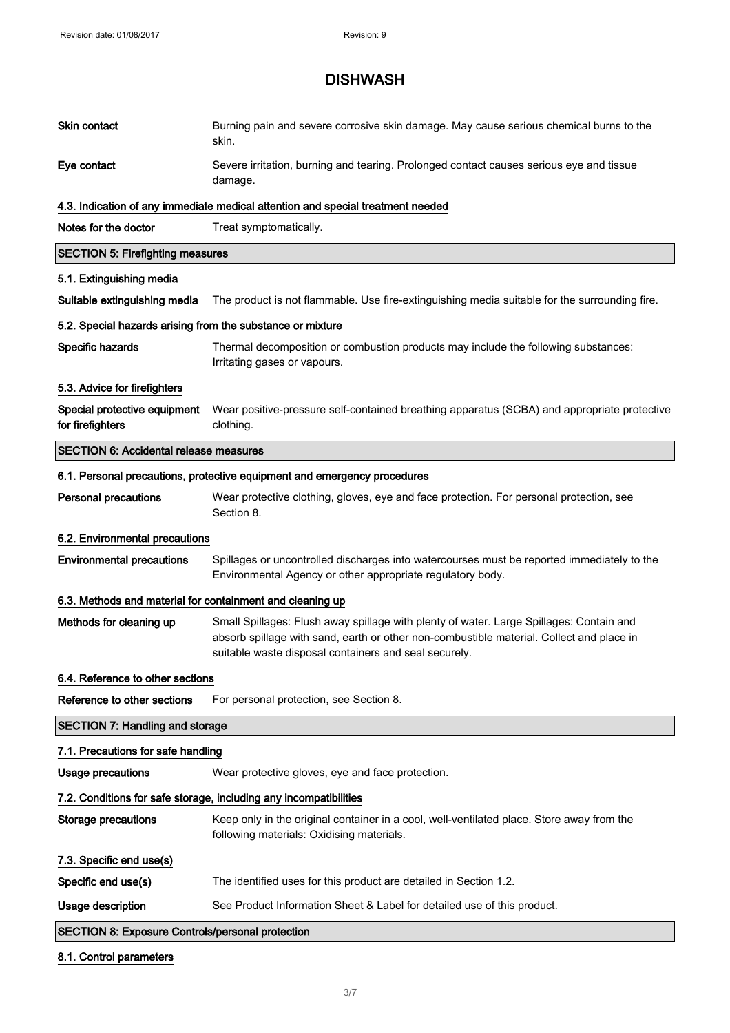| Skin contact                                               | Burning pain and severe corrosive skin damage. May cause serious chemical burns to the<br>skin.                                                                                                                                              |
|------------------------------------------------------------|----------------------------------------------------------------------------------------------------------------------------------------------------------------------------------------------------------------------------------------------|
| Eye contact                                                | Severe irritation, burning and tearing. Prolonged contact causes serious eye and tissue<br>damage.                                                                                                                                           |
|                                                            | 4.3. Indication of any immediate medical attention and special treatment needed                                                                                                                                                              |
| Notes for the doctor                                       | Treat symptomatically.                                                                                                                                                                                                                       |
| <b>SECTION 5: Firefighting measures</b>                    |                                                                                                                                                                                                                                              |
| 5.1. Extinguishing media                                   |                                                                                                                                                                                                                                              |
| Suitable extinguishing media                               | The product is not flammable. Use fire-extinguishing media suitable for the surrounding fire.                                                                                                                                                |
| 5.2. Special hazards arising from the substance or mixture |                                                                                                                                                                                                                                              |
| Specific hazards                                           | Thermal decomposition or combustion products may include the following substances:<br>Irritating gases or vapours.                                                                                                                           |
| 5.3. Advice for firefighters                               |                                                                                                                                                                                                                                              |
| Special protective equipment<br>for firefighters           | Wear positive-pressure self-contained breathing apparatus (SCBA) and appropriate protective<br>clothing.                                                                                                                                     |
| <b>SECTION 6: Accidental release measures</b>              |                                                                                                                                                                                                                                              |
|                                                            | 6.1. Personal precautions, protective equipment and emergency procedures                                                                                                                                                                     |
| <b>Personal precautions</b>                                | Wear protective clothing, gloves, eye and face protection. For personal protection, see<br>Section 8.                                                                                                                                        |
| 6.2. Environmental precautions                             |                                                                                                                                                                                                                                              |
| <b>Environmental precautions</b>                           | Spillages or uncontrolled discharges into watercourses must be reported immediately to the<br>Environmental Agency or other appropriate regulatory body.                                                                                     |
| 6.3. Methods and material for containment and cleaning up  |                                                                                                                                                                                                                                              |
| Methods for cleaning up                                    | Small Spillages: Flush away spillage with plenty of water. Large Spillages: Contain and<br>absorb spillage with sand, earth or other non-combustible material. Collect and place in<br>suitable waste disposal containers and seal securely. |
| 6.4. Reference to other sections                           |                                                                                                                                                                                                                                              |
| Reference to other sections                                | For personal protection, see Section 8.                                                                                                                                                                                                      |
| <b>SECTION 7: Handling and storage</b>                     |                                                                                                                                                                                                                                              |
| 7.1. Precautions for safe handling                         |                                                                                                                                                                                                                                              |
| <b>Usage precautions</b>                                   | Wear protective gloves, eye and face protection.                                                                                                                                                                                             |
|                                                            | 7.2. Conditions for safe storage, including any incompatibilities                                                                                                                                                                            |
| <b>Storage precautions</b>                                 | Keep only in the original container in a cool, well-ventilated place. Store away from the<br>following materials: Oxidising materials.                                                                                                       |
| 7.3. Specific end use(s)                                   |                                                                                                                                                                                                                                              |
| Specific end use(s)                                        | The identified uses for this product are detailed in Section 1.2.                                                                                                                                                                            |
| Usage description                                          | See Product Information Sheet & Label for detailed use of this product.                                                                                                                                                                      |
| <b>SECTION 8: Exposure Controls/personal protection</b>    |                                                                                                                                                                                                                                              |

### 8.1. Control parameters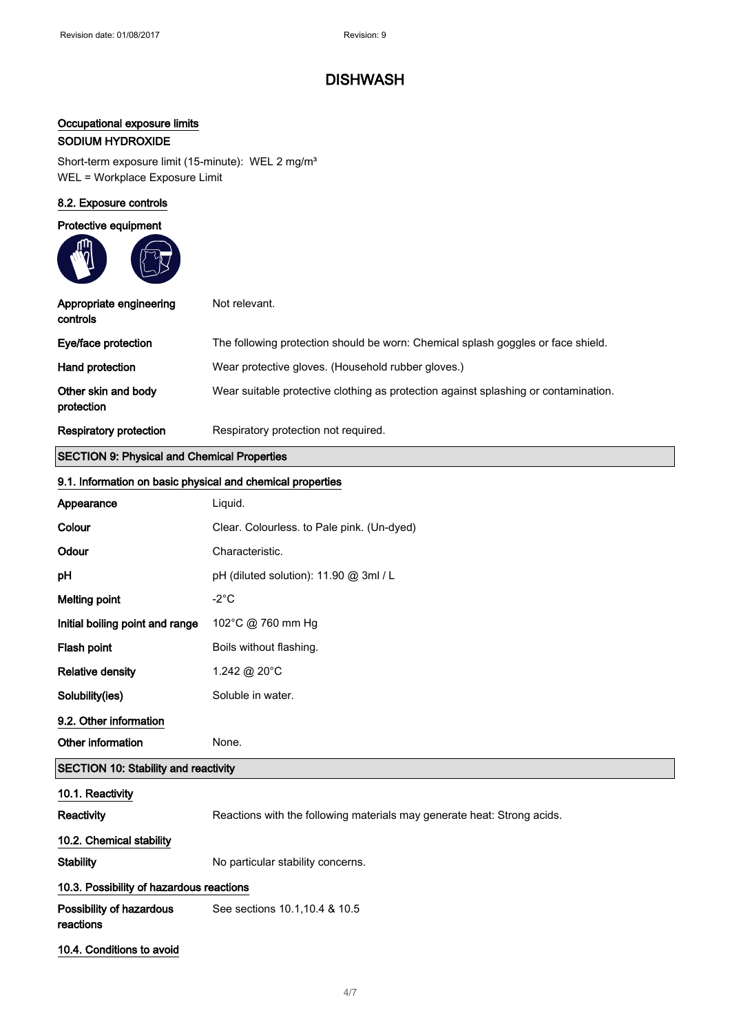## Occupational exposure limits

### SODIUM HYDROXIDE

Short-term exposure limit (15-minute): WEL 2 mg/m<sup>3</sup> WEL = Workplace Exposure Limit

### 8.2. Exposure controls

### Protective equipment

| Appropriate engineering<br>controls | Not relevant.                                                                       |
|-------------------------------------|-------------------------------------------------------------------------------------|
| Eye/face protection                 | The following protection should be worn: Chemical splash goggles or face shield.    |
| Hand protection                     | Wear protective gloves. (Household rubber gloves.)                                  |
| Other skin and body<br>protection   | Wear suitable protective clothing as protection against splashing or contamination. |
| <b>Respiratory protection</b>       | Respiratory protection not required.                                                |

### SECTION 9: Physical and Chemical Properties

|                                             | 9.1. Information on basic physical and chemical properties              |  |
|---------------------------------------------|-------------------------------------------------------------------------|--|
| Appearance                                  | Liquid.                                                                 |  |
| Colour                                      | Clear. Colourless. to Pale pink. (Un-dyed)                              |  |
| Odour                                       | Characteristic.                                                         |  |
| pH                                          | pH (diluted solution): 11.90 @ 3ml / L                                  |  |
| <b>Melting point</b>                        | $-2^{\circ}$ C                                                          |  |
| Initial boiling point and range             | 102°C @ 760 mm Hg                                                       |  |
| Flash point                                 | Boils without flashing.                                                 |  |
| <b>Relative density</b>                     | 1.242 @ 20°C                                                            |  |
| Solubility(ies)                             | Soluble in water.                                                       |  |
| 9.2. Other information                      |                                                                         |  |
| Other information                           | None.                                                                   |  |
| <b>SECTION 10: Stability and reactivity</b> |                                                                         |  |
| 10.1. Reactivity                            |                                                                         |  |
| Reactivity                                  | Reactions with the following materials may generate heat: Strong acids. |  |
| 10.2. Chemical stability                    |                                                                         |  |
| <b>Stability</b>                            | No particular stability concerns.                                       |  |
| 10.3. Possibility of hazardous reactions    |                                                                         |  |
| Possibility of hazardous<br>reactions       | See sections 10.1, 10.4 & 10.5                                          |  |
| 10.4. Conditions to avoid                   |                                                                         |  |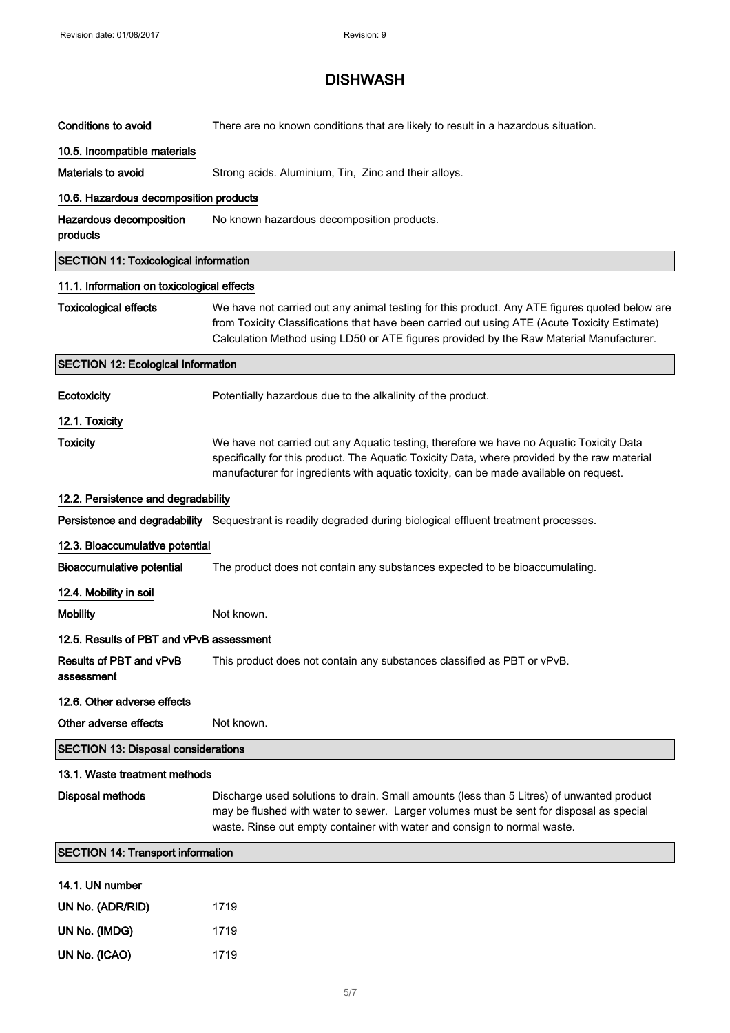| <b>Conditions to avoid</b>                   | There are no known conditions that are likely to result in a hazardous situation.                                                                                                                                                                                                        |
|----------------------------------------------|------------------------------------------------------------------------------------------------------------------------------------------------------------------------------------------------------------------------------------------------------------------------------------------|
| 10.5. Incompatible materials                 |                                                                                                                                                                                                                                                                                          |
| Materials to avoid                           | Strong acids. Aluminium, Tin, Zinc and their alloys.                                                                                                                                                                                                                                     |
| 10.6. Hazardous decomposition products       |                                                                                                                                                                                                                                                                                          |
| Hazardous decomposition<br>products          | No known hazardous decomposition products.                                                                                                                                                                                                                                               |
| <b>SECTION 11: Toxicological information</b> |                                                                                                                                                                                                                                                                                          |
| 11.1. Information on toxicological effects   |                                                                                                                                                                                                                                                                                          |
| <b>Toxicological effects</b>                 | We have not carried out any animal testing for this product. Any ATE figures quoted below are<br>from Toxicity Classifications that have been carried out using ATE (Acute Toxicity Estimate)<br>Calculation Method using LD50 or ATE figures provided by the Raw Material Manufacturer. |
| <b>SECTION 12: Ecological Information</b>    |                                                                                                                                                                                                                                                                                          |
| Ecotoxicity                                  | Potentially hazardous due to the alkalinity of the product.                                                                                                                                                                                                                              |
| 12.1. Toxicity                               |                                                                                                                                                                                                                                                                                          |
| <b>Toxicity</b>                              | We have not carried out any Aquatic testing, therefore we have no Aquatic Toxicity Data<br>specifically for this product. The Aquatic Toxicity Data, where provided by the raw material<br>manufacturer for ingredients with aquatic toxicity, can be made available on request.         |
| 12.2. Persistence and degradability          |                                                                                                                                                                                                                                                                                          |
|                                              | Persistence and degradability Sequestrant is readily degraded during biological effluent treatment processes.                                                                                                                                                                            |
| 12.3. Bioaccumulative potential              |                                                                                                                                                                                                                                                                                          |
| <b>Bioaccumulative potential</b>             | The product does not contain any substances expected to be bioaccumulating.                                                                                                                                                                                                              |
| 12.4. Mobility in soil                       |                                                                                                                                                                                                                                                                                          |
| <b>Mobility</b>                              | Not known.                                                                                                                                                                                                                                                                               |
| 12.5. Results of PBT and vPvB assessment     |                                                                                                                                                                                                                                                                                          |
| Results of PBT and vPvB<br>assessment        | This product does not contain any substances classified as PBT or vPvB.                                                                                                                                                                                                                  |
| 12.6. Other adverse effects                  |                                                                                                                                                                                                                                                                                          |
| Other adverse effects                        | Not known.                                                                                                                                                                                                                                                                               |
| <b>SECTION 13: Disposal considerations</b>   |                                                                                                                                                                                                                                                                                          |
| 13.1. Waste treatment methods                |                                                                                                                                                                                                                                                                                          |
| Disposal methods                             | Discharge used solutions to drain. Small amounts (less than 5 Litres) of unwanted product<br>may be flushed with water to sewer. Larger volumes must be sent for disposal as special<br>waste. Rinse out empty container with water and consign to normal waste.                         |
| <b>SECTION 14: Transport information</b>     |                                                                                                                                                                                                                                                                                          |
| 14.1. UN number                              |                                                                                                                                                                                                                                                                                          |
| UN No. (ADR/RID)                             | 1719                                                                                                                                                                                                                                                                                     |
| UN No. (IMDG)                                | 1719                                                                                                                                                                                                                                                                                     |
| UN No. (ICAO)                                | 1719                                                                                                                                                                                                                                                                                     |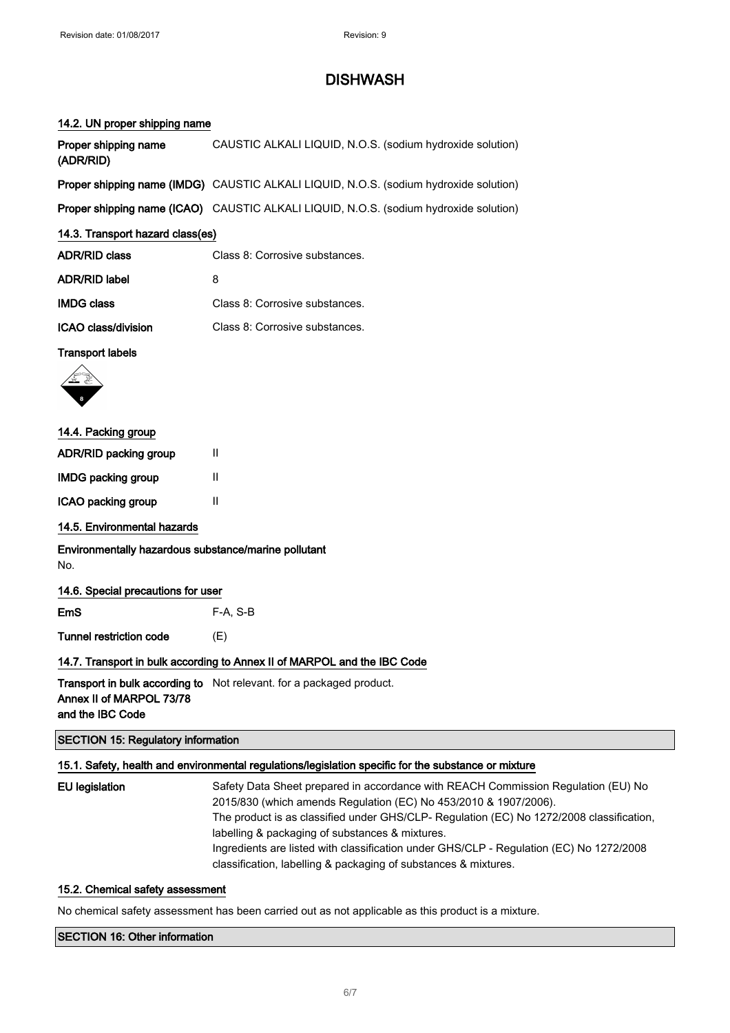### 14.2. UN proper shipping name

| Proper shipping name<br>(ADR/RID)                                        | CAUSTIC ALKALI LIQUID, N.O.S. (sodium hydroxide solution)                             |
|--------------------------------------------------------------------------|---------------------------------------------------------------------------------------|
|                                                                          | Proper shipping name (IMDG) CAUSTIC ALKALI LIQUID, N.O.S. (sodium hydroxide solution) |
|                                                                          | Proper shipping name (ICAO) CAUSTIC ALKALI LIQUID, N.O.S. (sodium hydroxide solution) |
| 14.3. Transport hazard class(es)                                         |                                                                                       |
| <b>ADR/RID class</b>                                                     | Class 8: Corrosive substances.                                                        |
| <b>ADR/RID label</b>                                                     | 8                                                                                     |
| <b>IMDG class</b>                                                        | Class 8: Corrosive substances.                                                        |
| ICAO class/division                                                      | Class 8: Corrosive substances.                                                        |
| <b>Transport labels</b>                                                  |                                                                                       |
|                                                                          |                                                                                       |
| 14.4. Packing group                                                      |                                                                                       |
| ADR/RID packing group                                                    | Ш                                                                                     |
| <b>IMDG packing group</b>                                                | $\mathsf{II}$                                                                         |
| ICAO packing group                                                       | Ш                                                                                     |
| 14.5. Environmental hazards                                              |                                                                                       |
| Environmentally hazardous substance/marine pollutant<br>No.              |                                                                                       |
| 14.6. Special precautions for user                                       |                                                                                       |
| EmS                                                                      | F-A, S-B                                                                              |
| <b>Tunnel restriction code</b>                                           | (E)                                                                                   |
| 14.7. Transport in bulk according to Annex II of MARPOL and the IBC Code |                                                                                       |
| Annex II of MARPOL 73/78                                                 | Transport in bulk according to Not relevant. for a packaged product.                  |

and the IBC Code

### SECTION 15: Regulatory information

### 15.1. Safety, health and environmental regulations/legislation specific for the substance or mixture

| <b>EU</b> legislation | Safety Data Sheet prepared in accordance with REACH Commission Regulation (EU) No        |
|-----------------------|------------------------------------------------------------------------------------------|
|                       | 2015/830 (which amends Regulation (EC) No 453/2010 & 1907/2006).                         |
|                       | The product is as classified under GHS/CLP- Regulation (EC) No 1272/2008 classification, |
|                       | labelling & packaging of substances & mixtures.                                          |
|                       | Ingredients are listed with classification under GHS/CLP - Regulation (EC) No 1272/2008  |
|                       | classification, labelling & packaging of substances & mixtures.                          |

### 15.2. Chemical safety assessment

No chemical safety assessment has been carried out as not applicable as this product is a mixture.

### SECTION 16: Other information